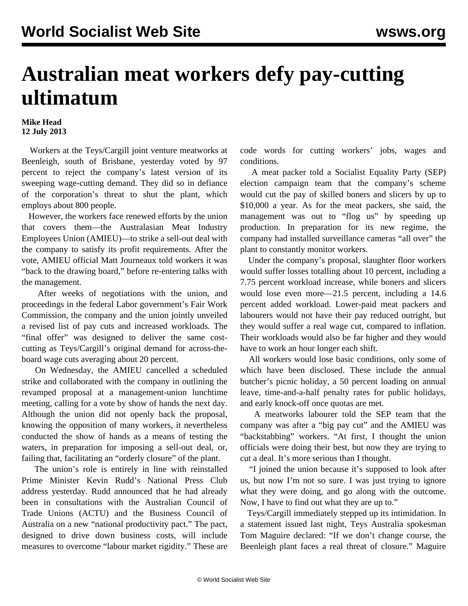## **Australian meat workers defy pay-cutting ultimatum**

## **Mike Head 12 July 2013**

 Workers at the Teys/Cargill joint venture meatworks at Beenleigh, south of Brisbane, yesterday voted by 97 percent to reject the company's latest version of its sweeping wage-cutting demand. They did so in defiance of the corporation's threat to shut the plant, which employs about 800 people.

 However, the workers face renewed efforts by the union that covers them—the Australasian Meat Industry Employees Union (AMIEU)—to strike a sell-out deal with the company to satisfy its profit requirements. After the vote, AMIEU official Matt Journeaux told workers it was "back to the drawing board," before re-entering talks with the management.

 After weeks of negotiations with the union, and proceedings in the federal Labor government's Fair Work Commission, the company and the union jointly unveiled a revised list of pay cuts and increased workloads. The "final offer" was designed to deliver the same costcutting as Teys/Cargill's original demand for across-theboard wage cuts averaging about 20 percent.

 On Wednesday, the AMIEU cancelled a scheduled strike and collaborated with the company in outlining the revamped proposal at a management-union lunchtime meeting, calling for a vote by show of hands the next day. Although the union did not openly back the proposal, knowing the opposition of many workers, it nevertheless conducted the show of hands as a means of testing the waters, in preparation for imposing a sell-out deal, or, failing that, facilitating an "orderly closure" of the plant.

 The union's role is entirely in line with reinstalled Prime Minister Kevin Rudd's National Press Club address yesterday. Rudd announced that he had already been in consultations with the Australian Council of Trade Unions (ACTU) and the Business Council of Australia on a new "national productivity pact." The pact, designed to drive down business costs, will include measures to overcome "labour market rigidity." These are

code words for cutting workers' jobs, wages and conditions.

 A meat packer told a Socialist Equality Party (SEP) election campaign team that the company's scheme would cut the pay of skilled boners and slicers by up to \$10,000 a year. As for the meat packers, she said, the management was out to "flog us" by speeding up production. In preparation for its new regime, the company had installed surveillance cameras "all over" the plant to constantly monitor workers.

 Under the company's proposal, slaughter floor workers would suffer losses totalling about 10 percent, including a 7.75 percent workload increase, while boners and slicers would lose even more—21.5 percent, including a 14.6 percent added workload. Lower-paid meat packers and labourers would not have their pay reduced outright, but they would suffer a real wage cut, compared to inflation. Their workloads would also be far higher and they would have to work an hour longer each shift.

 All workers would lose basic conditions, only some of which have been disclosed. These include the annual butcher's picnic holiday, a 50 percent loading on annual leave, time-and-a-half penalty rates for public holidays, and early knock-off once quotas are met.

 A meatworks labourer told the SEP team that the company was after a "big pay cut" and the AMIEU was "backstabbing" workers. "At first, I thought the union officials were doing their best, but now they are trying to cut a deal. It's more serious than I thought.

 "I joined the union because it's supposed to look after us, but now I'm not so sure. I was just trying to ignore what they were doing, and go along with the outcome. Now, I have to find out what they are up to."

 Teys/Cargill immediately stepped up its intimidation. In a statement issued last night, Teys Australia spokesman Tom Maguire declared: "If we don't change course, the Beenleigh plant faces a real threat of closure." Maguire